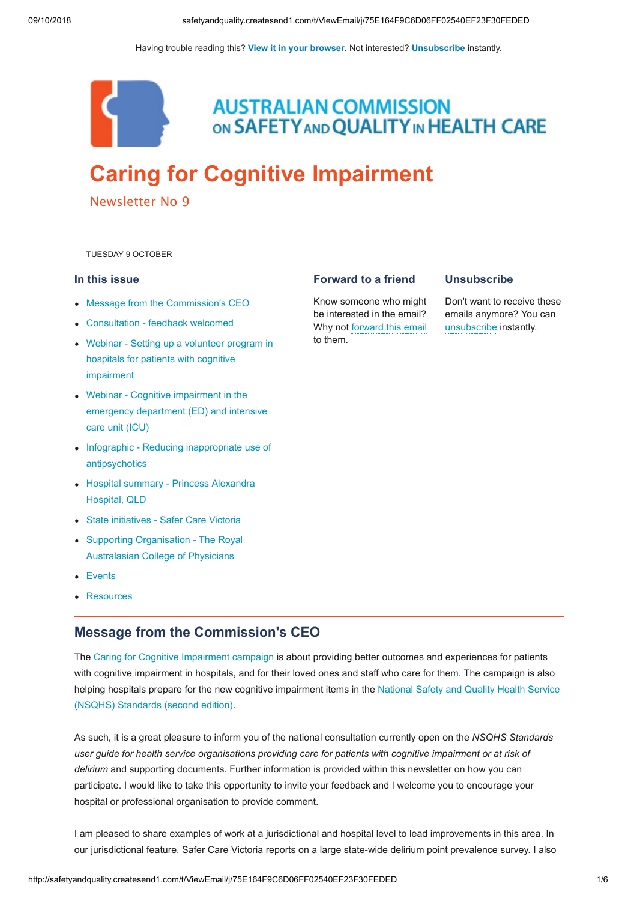Having trouble reading this? **[View it in your browser](http://safetyandquality.createsend1.com/t/j-e-nkilljd-l-r/)**. Not interested? **[Unsubscribe](http://safetyandquality.createsend1.com/t/j-u-nkilljd-l-y/)** instantly.



**AUSTRALIAN COMMISSION** ON SAFETY AND QUALITY IN HEALTH CARE

# **[Caring for Cognitive Impairment](https://safetyandquality.createsend1.com/t/j-l-nkilljd-l-i/)**

Newsletter No 9

<span id="page-0-1"></span>TUESDAY 9 OCTOBER

### **In this issue**

- [Message from the Commission's CEO](#page-0-0)
- [Consultation feedback welcomed](#page-1-0)
- [Webinar Setting up a volunteer program in](#page-1-1) hospitals for patients with cognitive impairment
- Webinar Cognitive impairment in the [emergency department \(ED\) and intensive](#page-2-0) care unit (ICU)
- [Infographic Reducing inappropriate use of](#page-2-1) antipsychotics
- [Hospital summary Princess Alexandra](#page-2-2) Hospital, QLD
- [State initiatives Safer Care Victoria](#page-2-3)
- [Supporting Organisation The Royal](#page-3-0) Australasian College of Physicians
- [Events](#page-4-0)
- [Resources](#page-4-1)

# <span id="page-0-0"></span>**Message from the Commission's CEO**

The [Caring for Cognitive Impairment campaign](https://safetyandquality.createsend1.com/t/j-l-nkilljd-l-d/) is about providing better outcomes and experiences for patients with cognitive impairment in hospitals, and for their loved ones and staff who care for them. The campaign is also [helping hospitals prepare for the new cognitive impairment items in the National Safety and Quality Health Service](https://safetyandquality.createsend1.com/t/j-l-nkilljd-l-h/) (NSQHS) Standards (second edition).

As such, it is a great pleasure to inform you of the national consultation currently open on the *NSQHS Standards user guide for health service organisations providing care for patients with cognitive impairment or at risk of delirium* and supporting documents. Further information is provided within this newsletter on how you can participate. I would like to take this opportunity to invite your feedback and I welcome you to encourage your hospital or professional organisation to provide comment.

I am pleased to share examples of work at a jurisdictional and hospital level to lead improvements in this area. In our jurisdictional feature, Safer Care Victoria reports on a large state-wide delirium point prevalence survey. I also

### **Forward to a friend**

Know someone who might be interested in the email? Why not [forward this email](http://safetyandquality.forwardtomyfriend.com/j-l-2AD73FFF-nkilljd-l-j) to them.

### **Unsubscribe**

Don't want to receive these emails anymore? You can [unsubscribe](http://safetyandquality.createsend1.com/t/j-u-nkilljd-l-t/) instantly.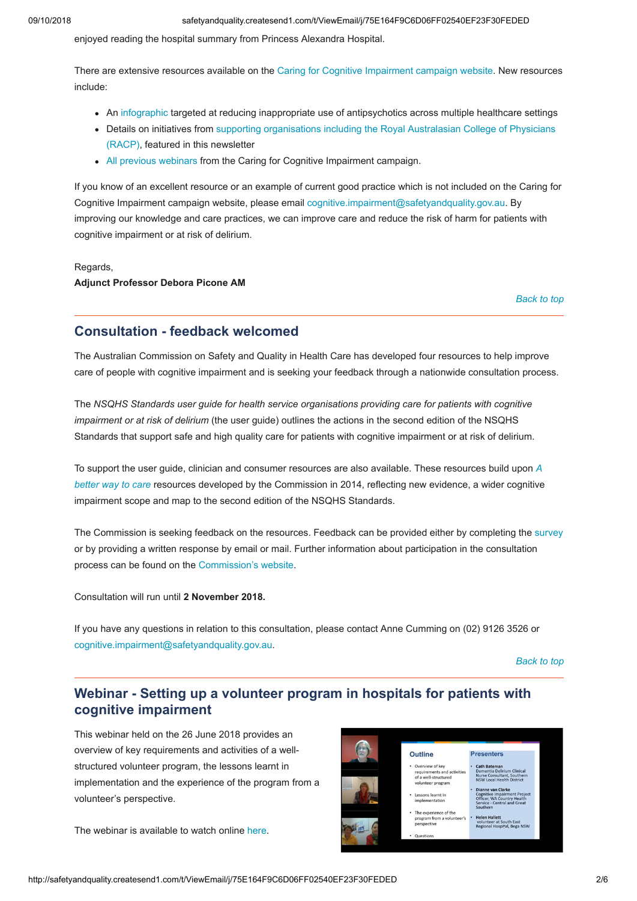enjoyed reading the hospital summary from Princess Alexandra Hospital.

There are extensive resources available on the [Caring for Cognitive Impairment campaign website.](https://safetyandquality.createsend1.com/t/j-l-nkilljd-l-k/) New resources include:

- An [infographic t](https://safetyandquality.createsend1.com/t/j-l-nkilljd-l-p/)argeted at reducing inappropriate use of antipsychotics across multiple healthcare settings
- [Details on initiatives from supporting organisations including the Royal Australasian College of Physicians](https://safetyandquality.createsend1.com/t/j-l-nkilljd-l-x/)  (RACP), featured in this newsletter
- [All previous webinars](https://safetyandquality.createsend1.com/t/j-l-nkilljd-l-m/) from the Caring for Cognitive Impairment campaign.

If you know of an excellent resource or an example of current good practice which is not included on the Caring for Cognitive Impairment campaign website, please email [cognitive.impairment@safetyandquality.gov.au](mailto:cognitive.impairment@safetyandquality.gov.au). By improving our knowledge and care practices, we can improve care and reduce the risk of harm for patients with cognitive impairment or at risk of delirium.

#### Regards,

### **Adjunct Professor Debora Picone AM**

*[Back to top](#page-0-1)*

# <span id="page-1-0"></span>**Consultation - feedback welcomed**

The Australian Commission on Safety and Quality in Health Care has developed four resources to help improve care of people with cognitive impairment and is seeking your feedback through a nationwide consultation process.

The *NSQHS Standards user guide for health service organisations providing care for patients with cognitive impairment or at risk of delirium* (the user guide) outlines the actions in the second edition of the NSQHS Standards that support safe and high quality care for patients with cognitive impairment or at risk of delirium.

[To support the user guide, clinician and consumer resources are also available. These resources build upon](https://safetyandquality.createsend1.com/t/j-l-nkilljd-l-c/) *A better way to care* resources developed by the Commission in 2014, reflecting new evidence, a wider cognitive impairment scope and map to the second edition of the NSQHS Standards.

The Commission is seeking feedback on the resources. Feedback can be provided either by completing th[e survey](https://safetyandquality.createsend1.com/t/j-l-nkilljd-l-q/) or by providing a written response by email or mail. Further information about participation in the consultation process can be found on the [Commission's website](https://safetyandquality.createsend1.com/t/j-l-nkilljd-l-a/).

Consultation will run until **2 November 2018.**

If you have any questions in relation to this consultation, please contact Anne Cumming on (02) 9126 3526 or [cognitive.impairment@safetyandquality.gov.au.](mailto:cognitive.impairment@safetyandquality.gov.au)

*[Back to top](#page-0-1)*

# <span id="page-1-1"></span>**Webinar - Setting up a volunteer program in hospitals for patients with cognitive impairment**

This webinar held on the 26 June 2018 provides an overview of key requirements and activities of a wellstructured volunteer program, the lessons learnt in implementation and the experience of the program from a volunteer's perspective.

The webinar is available to watch online [here](https://safetyandquality.createsend1.com/t/j-l-nkilljd-l-z/).

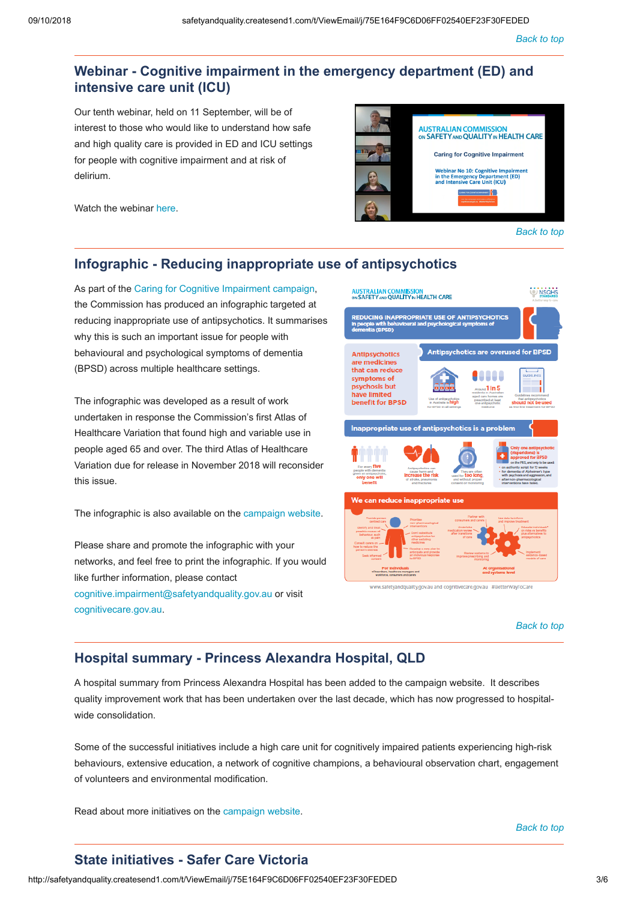# <span id="page-2-0"></span>**Webinar - Cognitive impairment in the emergency department (ED) and intensive care unit (ICU)**

Our tenth webinar, held on 11 September, will be of interest to those who would like to understand how safe and high quality care is provided in ED and ICU settings for people with cognitive impairment and at risk of delirium.

**AUSTRALIAN COMMISSION**<br>ON SAFETY AND QUALITY IN HEALTH CARE **Caring for Cognitive Impairment** Webinar No 10: Cognitive Impairme<br>in the Emergency Department (ED)<br>and Intensive Care Unit (ICU)  $\frac{1}{2}$ *[Back to top](#page-0-1)*

Watch the webinar [here](https://safetyandquality.createsend1.com/t/j-l-nkilljd-l-v/).

# <span id="page-2-1"></span>**Infographic - Reducing inappropriate use of antipsychotics**

As part of the [Caring for Cognitive Impairment campaign](https://safetyandquality.createsend1.com/t/j-l-nkilljd-l-g/), the Commission has produced an infographic targeted at reducing inappropriate use of antipsychotics. It summarises why this is such an important issue for people with behavioural and psychological symptoms of dementia (BPSD) across multiple healthcare settings.

The infographic was developed as a result of work undertaken in response the Commission's first Atlas of Healthcare Variation that found high and variable use in people aged 65 and over. The third Atlas of Healthcare Variation due for release in November 2018 will reconsider this issue.

The infographic is also available on the [campaign website.](https://safetyandquality.createsend1.com/t/j-l-nkilljd-l-w/)

Please share and promote the infographic with your networks, and feel free to print the infographic. If you would like further information, please contact [cognitive.impairment@safetyandquality.gov.au](mailto:cognitive.impairment@safetyandquality.gov.au) or visit [cognitivecare.gov.au](https://safetyandquality.createsend1.com/t/j-l-nkilljd-l-yd/).



*[Back to top](#page-0-1)*

# <span id="page-2-2"></span>**Hospital summary - Princess Alexandra Hospital, QLD**

A hospital summary from Princess Alexandra Hospital has been added to the campaign website. It describes quality improvement work that has been undertaken over the last decade, which has now progressed to hospitalwide consolidation.

Some of the successful initiatives include a high care unit for cognitively impaired patients experiencing high-risk behaviours, extensive education, a network of cognitive champions, a behavioural observation chart, engagement of volunteers and environmental modification.

Read about more initiatives on the [campaign website](https://safetyandquality.createsend1.com/t/j-l-nkilljd-l-yh/).

## <span id="page-2-3"></span>**State initiatives - Safer Care Victoria**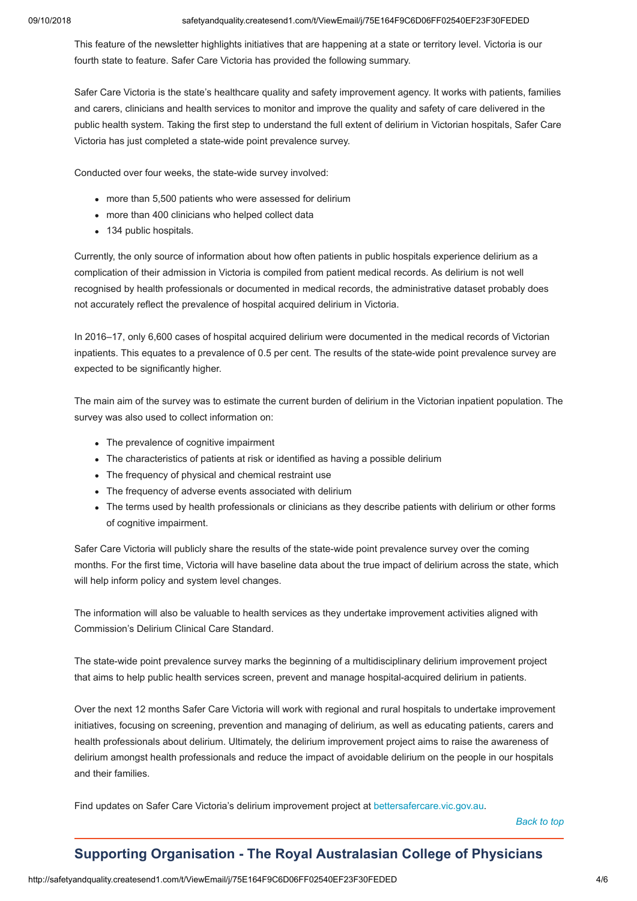This feature of the newsletter highlights initiatives that are happening at a state or territory level. Victoria is our fourth state to feature. Safer Care Victoria has provided the following summary.

Safer Care Victoria is the state's healthcare quality and safety improvement agency. It works with patients, families and carers, clinicians and health services to monitor and improve the quality and safety of care delivered in the public health system. Taking the first step to understand the full extent of delirium in Victorian hospitals, Safer Care Victoria has just completed a state-wide point prevalence survey.

Conducted over four weeks, the state-wide survey involved:

- more than 5,500 patients who were assessed for delirium
- more than 400 clinicians who helped collect data
- 134 public hospitals.

Currently, the only source of information about how often patients in public hospitals experience delirium as a complication of their admission in Victoria is compiled from patient medical records. As delirium is not well recognised by health professionals or documented in medical records, the administrative dataset probably does not accurately reflect the prevalence of hospital acquired delirium in Victoria.

In 2016–17, only 6,600 cases of hospital acquired delirium were documented in the medical records of Victorian inpatients. This equates to a prevalence of 0.5 per cent. The results of the state-wide point prevalence survey are expected to be significantly higher.

The main aim of the survey was to estimate the current burden of delirium in the Victorian inpatient population. The survey was also used to collect information on:

- The prevalence of cognitive impairment
- The characteristics of patients at risk or identified as having a possible delirium
- The frequency of physical and chemical restraint use
- The frequency of adverse events associated with delirium
- The terms used by health professionals or clinicians as they describe patients with delirium or other forms of cognitive impairment.

Safer Care Victoria will publicly share the results of the state-wide point prevalence survey over the coming months. For the first time, Victoria will have baseline data about the true impact of delirium across the state, which will help inform policy and system level changes.

The information will also be valuable to health services as they undertake improvement activities aligned with Commission's Delirium Clinical Care Standard.

The state-wide point prevalence survey marks the beginning of a multidisciplinary delirium improvement project that aims to help public health services screen, prevent and manage hospital-acquired delirium in patients.

Over the next 12 months Safer Care Victoria will work with regional and rural hospitals to undertake improvement initiatives, focusing on screening, prevention and managing of delirium, as well as educating patients, carers and health professionals about delirium. Ultimately, the delirium improvement project aims to raise the awareness of delirium amongst health professionals and reduce the impact of avoidable delirium on the people in our hospitals and their families.

Find updates on Safer Care Victoria's delirium improvement project at [bettersafercare.vic.gov.au](https://safetyandquality.createsend1.com/t/j-l-nkilljd-l-yk/).

*[Back to top](#page-0-1)*

# <span id="page-3-0"></span>**Supporting Organisation - The Royal Australasian College of Physicians**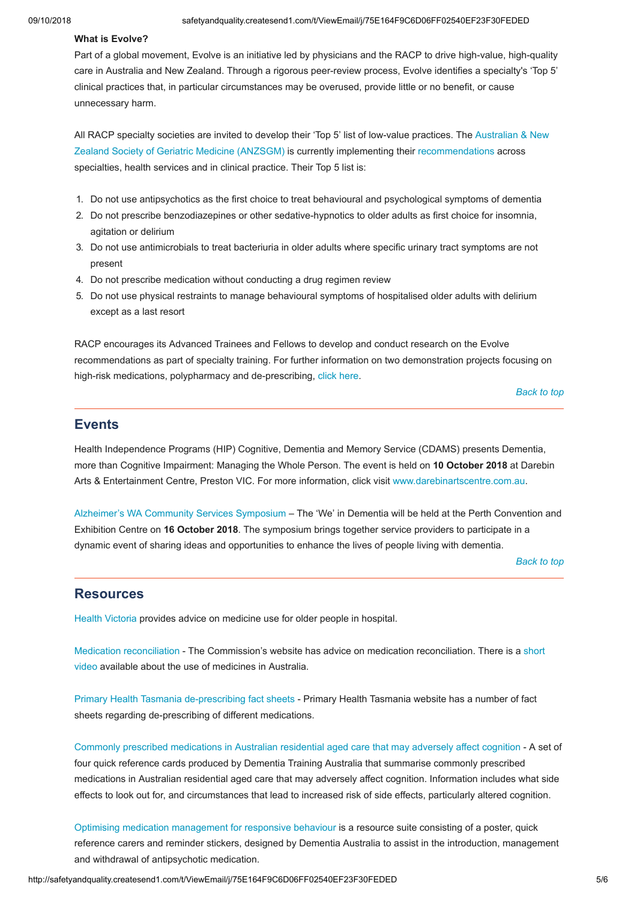### **What is Evolve?**

Part of a global movement, Evolve is an initiative led by physicians and the RACP to drive high-value, high-quality care in Australia and New Zealand. Through a rigorous peer-review process, Evolve identifies a specialty's 'Top 5' clinical practices that, in particular circumstances may be overused, provide little or no benefit, or cause unnecessary harm.

[All RACP specialty societies are invited to develop their 'Top 5' list of low-value practices. The Australian & New](https://safetyandquality.createsend1.com/t/j-l-nkilljd-l-yu/) Zealand Society of Geriatric Medicine (ANZSGM) is currently implementing their [recommendations](https://safetyandquality.createsend1.com/t/j-l-nkilljd-l-jl/) across specialties, health services and in clinical practice. Their Top 5 list is:

- 1. Do not use antipsychotics as the first choice to treat behavioural and psychological symptoms of dementia
- 2. Do not prescribe benzodiazepines or other sedative-hypnotics to older adults as first choice for insomnia, agitation or delirium
- 3. Do not use antimicrobials to treat bacteriuria in older adults where specific urinary tract symptoms are not present
- 4. Do not prescribe medication without conducting a drug regimen review
- 5. Do not use physical restraints to manage behavioural symptoms of hospitalised older adults with delirium except as a last resort

RACP encourages its Advanced Trainees and Fellows to develop and conduct research on the Evolve recommendations as part of specialty training. For further information on two demonstration projects focusing on high-risk medications, polypharmacy and de-prescribing, [click here](https://safetyandquality.createsend1.com/t/j-l-nkilljd-l-jr/).

*[Back to top](#page-0-1)*

# <span id="page-4-0"></span>**Events**

Health Independence Programs (HIP) Cognitive, Dementia and Memory Service (CDAMS) presents Dementia, more than Cognitive Impairment: Managing the Whole Person. The event is held on **10 October 2018** at Darebin Arts & Entertainment Centre, Preston VIC. For more information, click visit [www.darebinartscentre.com.au.](https://safetyandquality.createsend1.com/t/j-l-nkilljd-l-jy/)

[Alzheimer's WA Community Services Symposium](https://safetyandquality.createsend1.com/t/j-l-nkilljd-l-jj/) – The 'We' in Dementia will be held at the Perth Convention and Exhibition Centre on **16 October 2018**. The symposium brings together service providers to participate in a dynamic event of sharing ideas and opportunities to enhance the lives of people living with dementia.

*[Back to top](#page-0-1)*

## <span id="page-4-1"></span>**Resources**

[Health Victoria](https://safetyandquality.createsend1.com/t/j-l-nkilljd-l-jt/) provides advice on medicine use for older people in hospital.

[Medication reconciliatio](https://safetyandquality.createsend1.com/t/j-l-nkilljd-l-ji/)[n - The Commission's website has advice on medication reconciliation. There is a short](https://safetyandquality.createsend1.com/t/j-l-nkilljd-l-jd/) video available about the use of medicines in Australia.

[Primary Health Tasmania de-prescribing fact sheets](https://safetyandquality.createsend1.com/t/j-l-nkilljd-l-jh/) - Primary Health Tasmania website has a number of fact sheets regarding de-prescribing of different medications.

[Commonly prescribed medications in Australian residential aged care that may adversely affect cognition](https://safetyandquality.createsend1.com/t/j-l-nkilljd-l-jk/) - A set of four quick reference cards produced by Dementia Training Australia that summarise commonly prescribed medications in Australian residential aged care that may adversely affect cognition. Information includes what side effects to look out for, and circumstances that lead to increased risk of side effects, particularly altered cognition.

[Optimising medication management for responsive behaviour](https://safetyandquality.createsend1.com/t/j-l-nkilljd-l-ju/) is a resource suite consisting of a poster, quick reference carers and reminder stickers, designed by Dementia Australia to assist in the introduction, management and withdrawal of antipsychotic medication.